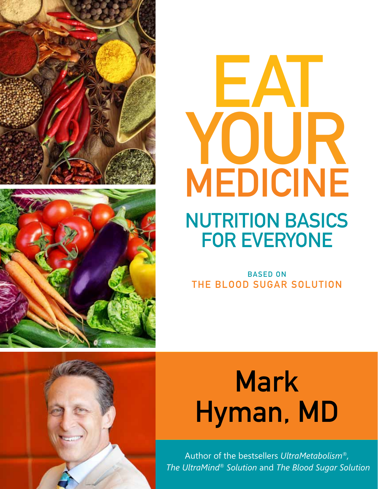





# **NUTRITION BASICS FOR EVERYONE**

BASED ON THE BLOOD SUGAR SOLUTION

# Mark Hyman, MD

Author of the bestsellers *UltraMetabolism®, The UltraMind® Solution* and *The Blood Sugar Solution*

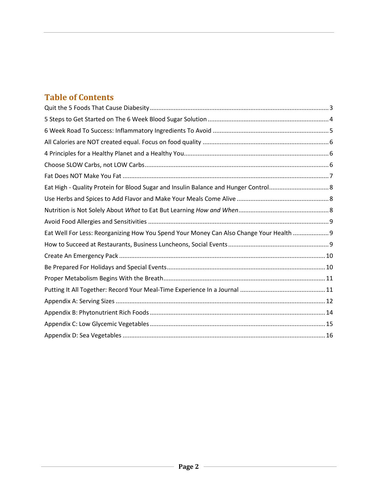# **Table of Contents**

| Eat Well For Less: Reorganizing How You Spend Your Money Can Also Change Your Health  9 |  |
|-----------------------------------------------------------------------------------------|--|
|                                                                                         |  |
|                                                                                         |  |
|                                                                                         |  |
|                                                                                         |  |
|                                                                                         |  |
|                                                                                         |  |
|                                                                                         |  |
|                                                                                         |  |
|                                                                                         |  |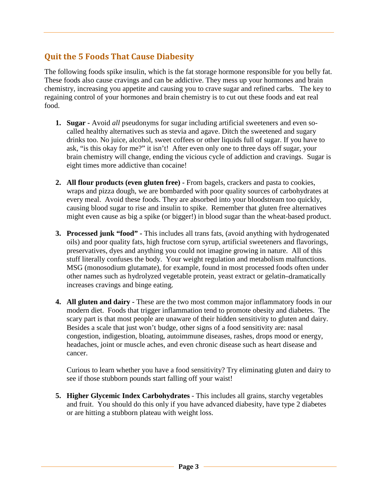# <span id="page-2-0"></span>**Quit the 5 Foods That Cause Diabesity**

The following foods spike insulin, which is the fat storage hormone responsible for you belly fat. These foods also cause cravings and can be addictive. They mess up your hormones and brain chemistry, increasing you appetite and causing you to crave sugar and refined carbs. The key to regaining control of your hormones and brain chemistry is to cut out these foods and eat real food.

- **1. Sugar -** Avoid *all* pseudonyms for sugar including artificial sweeteners and even socalled healthy alternatives such as stevia and agave. Ditch the sweetened and sugary drinks too. No juice, alcohol, sweet coffees or other liquids full of sugar. If you have to ask, "is this okay for me?" it isn't! After even only one to three days off sugar, your brain chemistry will change, ending the vicious cycle of addiction and cravings. Sugar is eight times more addictive than cocaine!
- **2. All flour products (even gluten free) -** From bagels, crackers and pasta to cookies, wraps and pizza dough, we are bombarded with poor quality sources of carbohydrates at every meal. Avoid these foods. They are absorbed into your bloodstream too quickly, causing blood sugar to rise and insulin to spike. Remember that gluten free alternatives might even cause as big a spike (or bigger!) in blood sugar than the wheat-based product.
- **3. Processed junk "food" -** This includes all trans fats, (avoid anything with hydrogenated oils) and poor quality fats, high fructose corn syrup, artificial sweeteners and flavorings, preservatives, dyes and anything you could not imagine growing in nature. All of this stuff literally confuses the body. Your weight regulation and metabolism malfunctions. MSG (monosodium glutamate), for example, found in most processed foods often under other names such as hydrolyzed vegetable protein, yeast extract or gelatin–dramatically increases cravings and binge eating.
- **4. All gluten and dairy -** These are the two most common major inflammatory foods in our modern diet. Foods that trigger inflammation tend to promote obesity and diabetes. The scary part is that most people are unaware of their hidden sensitivity to gluten and dairy. Besides a scale that just won't budge, other signs of a food sensitivity are: nasal congestion, indigestion, bloating, autoimmune diseases, rashes, drops mood or energy, headaches, joint or muscle aches, and even chronic disease such as heart disease and cancer.

Curious to learn whether you have a food sensitivity? Try eliminating gluten and dairy to see if those stubborn pounds start falling off your waist!

**5. Higher Glycemic Index Carbohydrates** - This includes all grains, starchy vegetables and fruit. You should do this only if you have advanced diabesity, have type 2 diabetes or are hitting a stubborn plateau with weight loss.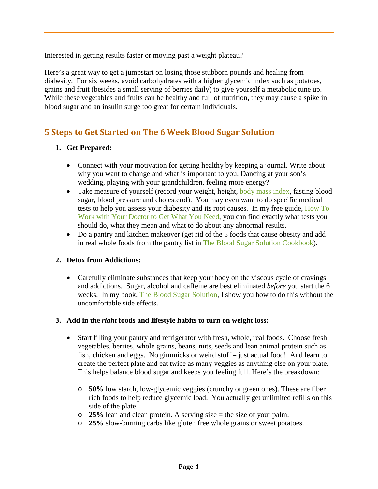Interested in getting results faster or moving past a weight plateau?

Here's a great way to get a jumpstart on losing those stubborn pounds and healing from diabesity. For six weeks, avoid carbohydrates with a higher glycemic index such as potatoes, grains and fruit (besides a small serving of berries daily) to give yourself a metabolic tune up. While these vegetables and fruits can be healthy and full of nutrition, they may cause a spike in blood sugar and an insulin surge too great for certain individuals.

#### <span id="page-3-0"></span>**5 Steps to Get Started on The 6 Week Blood Sugar Solution**

#### **1. Get Prepared:**

- Connect with your motivation for getting healthy by keeping a journal. Write about why you want to change and what is important to you. Dancing at your son's wedding, playing with your grandchildren, feeling more energy?
- Take measure of yourself (record your weight, height, [body mass index,](http://nhlbisupport.com/bmi/) fasting blood sugar, blood pressure and cholesterol). You may even want to do specific medical tests to help you assess your diabesity and its root causes. In my free guide, [How To](http://drhyman.com/how-to-work-with-your-doctor-to-get-what-you-need/)  [Work with Your Doctor to Get What You Need,](http://drhyman.com/how-to-work-with-your-doctor-to-get-what-you-need/) you can find exactly what tests you should do, what they mean and what to do about any abnormal results.
- Do a pantry and kitchen makeover (get rid of the 5 foods that cause obesity and add in real whole foods from the pantry list in [The Blood Sugar Solution Cookbook\)](http://drhyman.com/bss/bsscookbook/).

#### **2. Detox from Addictions:**

• Carefully eliminate substances that keep your body on the viscous cycle of cravings and addictions. Sugar, alcohol and caffeine are best eliminated *before* you start the 6 weeks. In my book, [The Blood Sugar Solution,](http://www.bloodsugarsolution.com/) I show you how to do this without the uncomfortable side effects.

#### **3. Add in the** *right* **foods and lifestyle habits to turn on weight loss:**

- Start filling your pantry and refrigerator with fresh, whole, real foods. Choose fresh vegetables, berries, whole grains, beans, nuts, seeds and lean animal protein such as fish, chicken and eggs. No gimmicks or weird stuff – just actual food! And learn to create the perfect plate and eat twice as many veggies as anything else on your plate. This helps balance blood sugar and keeps you feeling full. Here's the breakdown:
	- o **50%** low starch, low-glycemic veggies (crunchy or green ones). These are fiber rich foods to help reduce glycemic load. You actually get unlimited refills on this side of the plate.
	- o **25%** lean and clean protein. A serving size = the size of your palm.
	- o **25%** slow-burning carbs like gluten free whole grains or sweet potatoes.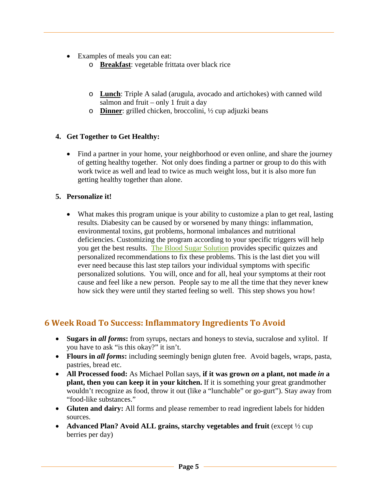- Examples of meals you can eat:
	- o **Breakfast**: vegetable frittata over black rice
	- o **Lunch**: Triple A salad (arugula, avocado and artichokes) with canned wild salmon and fruit – only 1 fruit a day
	- o **Dinner**: grilled chicken, broccolini, ½ cup adjuzki beans

#### **4. Get Together to Get Healthy:**

• Find a partner in your home, your neighborhood or even online, and share the journey of getting healthy together. Not only does finding a partner or group to do this with work twice as well and lead to twice as much weight loss, but it is also more fun getting healthy together than alone.

#### **5. Personalize it!**

• What makes this program unique is your ability to customize a plan to get real, lasting results. Diabesity can be caused by or worsened by many things: inflammation, environmental toxins, gut problems, hormonal imbalances and nutritional deficiencies. Customizing the program according to your specific triggers will help you get the best results. [The Blood Sugar Solution](http://www.bloodsugarsolution.com/) provides specific quizzes and personalized recommendations to fix these problems. This is the last diet you will ever need because this last step tailors your individual symptoms with specific personalized solutions. You will, once and for all, heal your symptoms at their root cause and feel like a new person. People say to me all the time that they never knew how sick they were until they started feeling so well. This step shows you how!

#### <span id="page-4-0"></span>**6 Week Road To Success: Inflammatory Ingredients To Avoid**

- **Sugars in** *all forms***:** from syrups, nectars and honeys to stevia, sucralose and xylitol. If you have to ask "is this okay?" it isn't.
- **Flours in** *all forms***:** including seemingly benign gluten free. Avoid bagels, wraps, pasta, pastries, bread etc.
- **All Processed food:** As Michael Pollan says, **if it was grown** *on* **a plant, not made** *in* **a plant, then you can keep it in your kitchen.** If it is something your great grandmother wouldn't recognize as food, throw it out (like a "lunchable" or go-gurt"). Stay away from "food-like substances."
- **Gluten and dairy:** All forms and please remember to read ingredient labels for hidden sources.
- **Advanced Plan? Avoid ALL grains, starchy vegetables and fruit** (except  $\frac{1}{2}$  cup berries per day)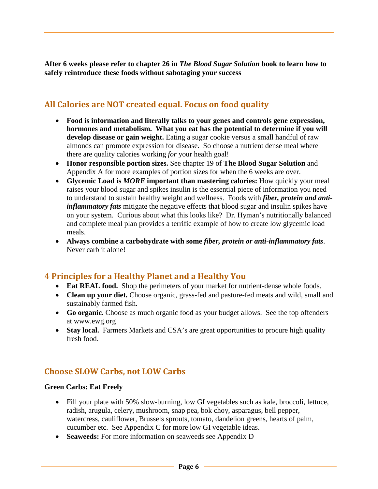**After 6 weeks please refer to chapter 26 in** *The Blood Sugar Solution* **book to learn how to safely reintroduce these foods without sabotaging your success**

# <span id="page-5-0"></span>**All Calories are NOT created equal. Focus on food quality**

- **Food is information and literally talks to your genes and controls gene expression, hormones and metabolism. What you eat has the potential to determine if you will develop disease or gain weight.** Eating a sugar cookie versus a small handful of raw almonds can promote expression for disease. So choose a nutrient dense meal where there are quality calories working *for* your health goal!
- **Honor responsible portion sizes.** See chapter 19 of **The Blood Sugar Solution** and Appendix A for more examples of portion sizes for when the 6 weeks are over.
- **Glycemic Load is** *MORE* **important than mastering calories:** How quickly your meal raises your blood sugar and spikes insulin is the essential piece of information you need to understand to sustain healthy weight and wellness. Foods with *fiber, protein and antiinflammatory fats* mitigate the negative effects that blood sugar and insulin spikes have on your system. Curious about what this looks like? Dr. Hyman's nutritionally balanced and complete meal plan provides a terrific example of how to create low glycemic load meals.
- **Always combine a carbohydrate with some** *fiber, protein or anti-inflammatory fats*. Never carb it alone!

#### <span id="page-5-1"></span>**4 Principles for a Healthy Planet and a Healthy You**

- **Eat REAL food.** Shop the perimeters of your market for nutrient-dense whole foods.
- **Clean up your diet.** Choose organic, grass-fed and pasture-fed meats and wild, small and sustainably farmed fish.
- **Go organic.** Choose as much organic food as your budget allows. See the top offenders at www.ewg.org
- Stay local. Farmers Markets and CSA's are great opportunities to procure high quality fresh food.

#### <span id="page-5-2"></span>**Choose SLOW Carbs, not LOW Carbs**

#### **Green Carbs: Eat Freely**

- Fill your plate with 50% slow-burning, low GI vegetables such as kale, broccoli, lettuce, radish, arugula, celery, mushroom, snap pea, bok choy, asparagus, bell pepper, watercress, cauliflower, Brussels sprouts, tomato, dandelion greens, hearts of palm, cucumber etc. See Appendix C for more low GI vegetable ideas.
- **Seaweeds:** For more information on seaweeds see Appendix D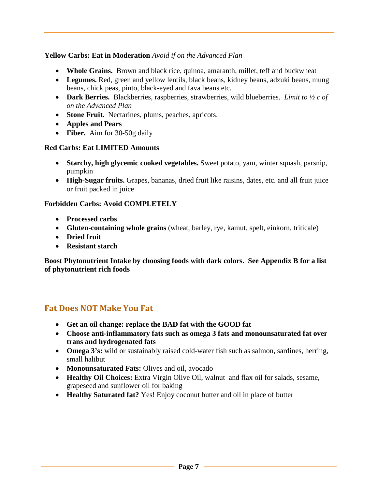#### **Yellow Carbs: Eat in Moderation** *Avoid if on the Advanced Plan*

- **Whole Grains.** Brown and black rice, quinoa, amaranth, millet, teff and buckwheat
- **Legumes.** Red, green and yellow lentils, black beans, kidney beans, adzuki beans, mung beans, chick peas, pinto, black-eyed and fava beans etc.
- **Dark Berries.** Blackberries, raspberries, strawberries, wild blueberries. *Limit to ½ c of on the Advanced Plan*
- **Stone Fruit.** Nectarines, plums, peaches, apricots.
- **Apples and Pears**
- **Fiber.** Aim for 30-50g daily

#### **Red Carbs: Eat LIMITED Amounts**

- **Starchy, high glycemic cooked vegetables.** Sweet potato, yam, winter squash, parsnip, pumpkin
- **High-Sugar fruits.** Grapes, bananas, dried fruit like raisins, dates, etc. and all fruit juice or fruit packed in juice

#### **Forbidden Carbs: Avoid COMPLETELY**

- **Processed carbs**
- **Gluten-containing whole grains** (wheat, barley, rye, kamut, spelt, einkorn, triticale)
- **Dried fruit**
- **Resistant starch**

**Boost Phytonutrient Intake by choosing foods with dark colors.****See Appendix B for a list of phytonutrient rich foods**

#### <span id="page-6-0"></span>**Fat Does NOT Make You Fat**

- **Get an oil change: replace the BAD fat with the GOOD fat**
- **Choose anti-inflammatory fats such as omega 3 fats and monounsaturated fat over trans and hydrogenated fats**
- **Omega 3's:** wild or sustainably raised cold-water fish such as salmon, sardines, herring, small halibut
- **Monounsaturated Fats:** Olives and oil, avocado
- **Healthy Oil Choices:** Extra Virgin Olive Oil, walnut and flax oil for salads, sesame, grapeseed and sunflower oil for baking
- **Healthy Saturated fat?** Yes! Enjoy coconut butter and oil in place of butter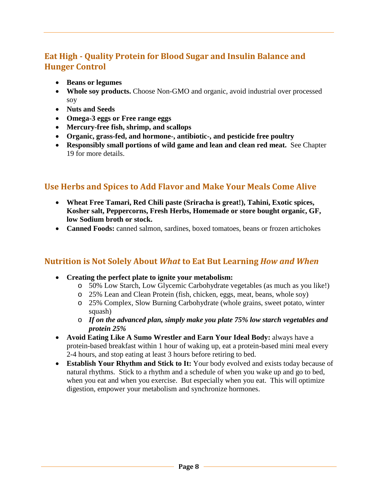# <span id="page-7-0"></span>**Eat High - Quality Protein for Blood Sugar and Insulin Balance and Hunger Control**

- **Beans or legumes**
- **Whole soy products.** Choose Non-GMO and organic, avoid industrial over processed soy
- **Nuts and Seeds**
- **Omega-3 eggs or Free range eggs**
- **Mercury-free fish, shrimp, and scallops**
- **Organic, grass-fed, and hormone-, antibiotic-, and pesticide free poultry**
- **Responsibly small portions of wild game and lean and clean red meat.** See Chapter 19 for more details.

# <span id="page-7-1"></span>**Use Herbs and Spices to Add Flavor and Make Your Meals Come Alive**

- **Wheat Free Tamari, Red Chili paste (Sriracha is great!), Tahini, Exotic spices, Kosher salt, Peppercorns, Fresh Herbs, Homemade or store bought organic, GF, low Sodium broth or stock.**
- **Canned Foods:** canned salmon, sardines, boxed tomatoes, beans or frozen artichokes

#### <span id="page-7-2"></span>**Nutrition is Not Solely About** *What* **to Eat But Learning** *How and When*

- **Creating the perfect plate to ignite your metabolism:**
	- o 50% Low Starch, Low Glycemic Carbohydrate vegetables (as much as you like!)
	- o 25% Lean and Clean Protein (fish, chicken, eggs, meat, beans, whole soy)
	- o 25% Complex, Slow Burning Carbohydrate (whole grains, sweet potato, winter squash)
	- o *If on the advanced plan, simply make you plate 75% low starch vegetables and protein 25%*
- **Avoid Eating Like A Sumo Wrestler and Earn Your Ideal Body:** always have a protein-based breakfast within 1 hour of waking up, eat a protein-based mini meal every 2-4 hours, and stop eating at least 3 hours before retiring to bed.
- **Establish Your Rhythm and Stick to It:** Your body evolved and exists today because of natural rhythms. Stick to a rhythm and a schedule of when you wake up and go to bed, when you eat and when you exercise. But especially when you eat. This will optimize digestion, empower your metabolism and synchronize hormones.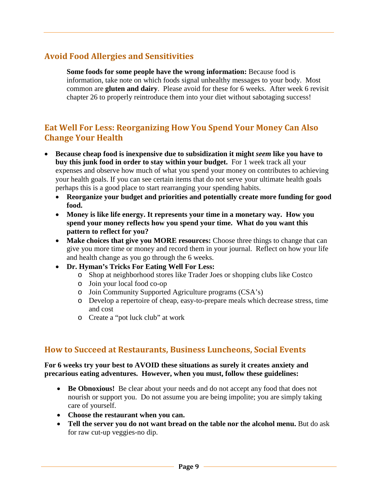# <span id="page-8-0"></span>**Avoid Food Allergies and Sensitivities**

**Some foods for some people have the wrong information:** Because food is information, take note on which foods signal unhealthy messages to your body. Most common are **gluten and dairy**. Please avoid for these for 6 weeks. After week 6 revisit chapter 26 to properly reintroduce them into your diet without sabotaging success!

### <span id="page-8-1"></span>**Eat Well For Less: Reorganizing How You Spend Your Money Can Also Change Your Health**

- **Because cheap food is inexpensive due to subsidization it might** *seem* **like you have to buy this junk food in order to stay within your budget.** For 1 week track all your expenses and observe how much of what you spend your money on contributes to achieving your health goals. If you can see certain items that do not serve your ultimate health goals perhaps this is a good place to start rearranging your spending habits.
	- **Reorganize your budget and priorities and potentially create more funding for good food.**
	- **Money is like life energy. It represents your time in a monetary way. How you spend your money reflects how you spend your time. What do you want this pattern to reflect for you?**
	- **Make choices that give you MORE resources:** Choose three things to change that can give you more time or money and record them in your journal. Reflect on how your life and health change as you go through the 6 weeks.
	- **Dr. Hyman's Tricks For Eating Well For Less:**
		- o Shop at neighborhood stores like Trader Joes or shopping clubs like Costco
		- o Join your local food co-op
		- o Join Community Supported Agriculture programs (CSA's)
		- o Develop a repertoire of cheap, easy-to-prepare meals which decrease stress, time and cost
		- o Create a "pot luck club" at work

#### <span id="page-8-2"></span>**How to Succeed at Restaurants, Business Luncheons, Social Events**

#### **For 6 weeks try your best to AVOID these situations as surely it creates anxiety and precarious eating adventures. However, when you must, follow these guidelines:**

- **Be Obnoxious!** Be clear about your needs and do not accept any food that does not nourish or support you. Do not assume you are being impolite; you are simply taking care of yourself.
- **Choose the restaurant when you can.**
- **Tell the server you do not want bread on the table nor the alcohol menu.** But do ask for raw cut-up veggies-no dip.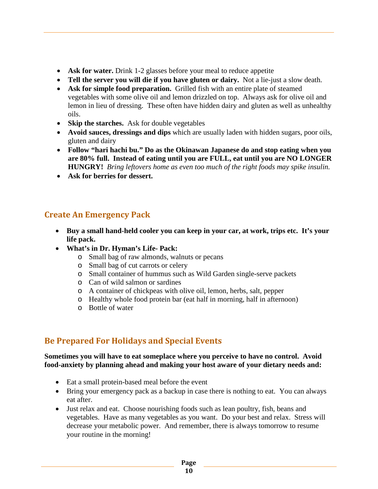- Ask for water. Drink 1-2 glasses before your meal to reduce appetite
- **Tell the server you will die if you have gluten or dairy.** Not a lie-just a slow death.
- **Ask for simple food preparation.** Grilled fish with an entire plate of steamed vegetables with some olive oil and lemon drizzled on top. Always ask for olive oil and lemon in lieu of dressing. These often have hidden dairy and gluten as well as unhealthy oils.
- **Skip the starches.** Ask for double vegetables
- **Avoid sauces, dressings and dips** which are usually laden with hidden sugars, poor oils, gluten and dairy
- **Follow "hari hachi bu." Do as the Okinawan Japanese do and stop eating when you are 80% full. Instead of eating until you are FULL, eat until you are NO LONGER HUNGRY!** *Bring leftovers home as even too much of the right foods may spike insulin.*
- **Ask for berries for dessert.**

# <span id="page-9-0"></span>**Create An Emergency Pack**

- **Buy a small hand-held cooler you can keep in your car, at work, trips etc. It's your life pack.**
- **What's in Dr. Hyman's Life- Pack:**
	- o Small bag of raw almonds, walnuts or pecans
	- o Small bag of cut carrots or celery
	- o Small container of hummus such as Wild Garden single-serve packets
	- o Can of wild salmon or sardines
	- o A container of chickpeas with olive oil, lemon, herbs, salt, pepper
	- o Healthy whole food protein bar (eat half in morning, half in afternoon)
	- o Bottle of water

# <span id="page-9-1"></span>**Be Prepared For Holidays and Special Events**

#### **Sometimes you will have to eat someplace where you perceive to have no control. Avoid food-anxiety by planning ahead and making your host aware of your dietary needs and:**

- Eat a small protein-based meal before the event
- Bring your emergency pack as a backup in case there is nothing to eat. You can always eat after.
- Just relax and eat. Choose nourishing foods such as lean poultry, fish, beans and vegetables. Have as many vegetables as you want. Do your best and relax. Stress will decrease your metabolic power. And remember, there is always tomorrow to resume your routine in the morning!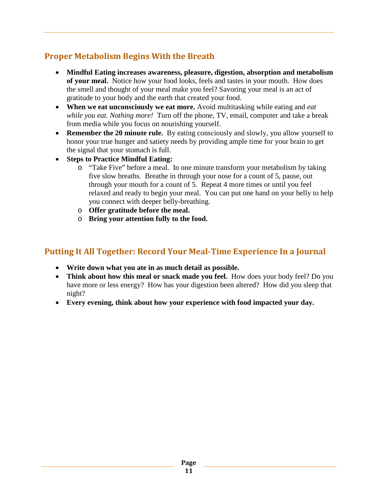# <span id="page-10-0"></span>**Proper Metabolism Begins With the Breath**

- **Mindful Eating increases awareness, pleasure, digestion, absorption and metabolism of your meal.** Notice how your food looks, feels and tastes in your mouth. How does the smell and thought of your meal make you feel? Savoring your meal is an act of gratitude to your body and the earth that created your food.
- **When we eat unconsciously we eat more.** Avoid multitasking while eating and *eat while you eat. Nothing more!* Turn off the phone, TV, email, computer and take a break from media while you focus on nourishing yourself.
- **Remember the 20 minute rule.** By eating consciously and slowly, you allow yourself to honor your true hunger and satiety needs by providing ample time for your brain to get the signal that your stomach is full.
- **Steps to Practice Mindful Eating:**
	- o "Take Five" before a meal. In one minute transform your metabolism by taking five slow breaths. Breathe in through your nose for a count of 5, pause, out through your mouth for a count of 5. Repeat 4 more times or until you feel relaxed and ready to begin your meal. You can put one hand on your belly to help you connect with deeper belly-breathing.
	- o **Offer gratitude before the meal.**
	- o **Bring your attention fully to the food.**

#### <span id="page-10-1"></span>**Putting It All Together: Record Your Meal-Time Experience In a Journal**

- **Write down what you ate in as much detail as possible.**
- **Think about how this meal or snack made you feel.** How does your body feel? Do you have more or less energy? How has your digestion been altered? How did you sleep that night?
- **Every evening, think about how your experience with food impacted your day.**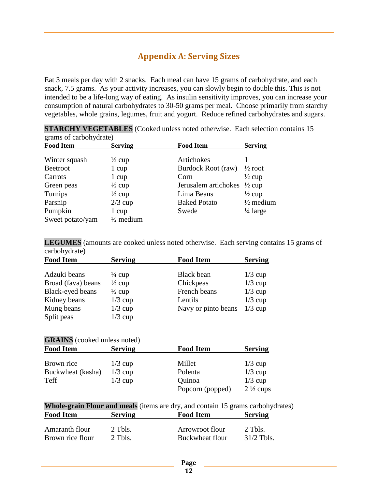# **Appendix A: Serving Sizes**

<span id="page-11-0"></span>Eat 3 meals per day with 2 snacks. Each meal can have 15 grams of carbohydrate, and each snack, 7.5 grams. As your activity increases, you can slowly begin to double this. This is not intended to be a life-long way of eating. As insulin sensitivity improves, you can increase your consumption of natural carbohydrates to 30-50 grams per meal. Choose primarily from starchy vegetables, whole grains, legumes, fruit and yogurt. Reduce refined carbohydrates and sugars.

| grams or carbon yurate) |                      |                      |                      |  |
|-------------------------|----------------------|----------------------|----------------------|--|
| <b>Food Item</b>        | <b>Serving</b>       | <b>Food Item</b>     | <b>Serving</b>       |  |
| Winter squash           | $\frac{1}{2}$ cup    | Artichokes           |                      |  |
| <b>Beetroot</b>         | 1 cup                | Burdock Root (raw)   | $\frac{1}{2}$ root   |  |
| Carrots                 | 1 cup                | Corn                 | $\frac{1}{2}$ cup    |  |
| Green peas              | $\frac{1}{2}$ cup    | Jerusalem artichokes | $\frac{1}{2}$ cup    |  |
| Turnips                 | $\frac{1}{2}$ cup    | Lima Beans           | $\frac{1}{2}$ cup    |  |
| Parsnip                 | $2/3$ cup            | <b>Baked Potato</b>  | $\frac{1}{2}$ medium |  |
| Pumpkin                 | 1 cup                | Swede                | $\frac{1}{4}$ large  |  |
| Sweet potato/yam        | $\frac{1}{2}$ medium |                      |                      |  |

|                        | <b>STARCHY VEGETABLES</b> (Cooked unless noted otherwise. Each selection contains 15 |  |
|------------------------|--------------------------------------------------------------------------------------|--|
| grame of carbohydrata) |                                                                                      |  |

**LEGUMES** (amounts are cooked unless noted otherwise. Each serving contains 15 grams of carbohydrate)

| <b>Food Item</b>   | <b>Serving</b>    | <b>Food Item</b>    | <b>Serving</b> |
|--------------------|-------------------|---------------------|----------------|
|                    |                   |                     |                |
| Adzuki beans       | $\frac{1}{4}$ cup | <b>Black</b> bean   | $1/3$ cup      |
| Broad (fava) beans | $\frac{1}{2}$ cup | Chickpeas           | $1/3$ cup      |
| Black-eyed beans   | $\frac{1}{2}$ cup | French beans        | $1/3$ cup      |
| Kidney beans       | $1/3$ cup         | Lentils             | $1/3$ cup      |
| Mung beans         | $1/3$ cup         | Navy or pinto beans | $1/3$ cup      |
| Split peas         | $1/3$ cup         |                     |                |

#### **GRAINS** (cooked unless noted)

| <b>Food Item</b>  | <b>Serving</b> | <b>Food Item</b> | <b>Serving</b>      |
|-------------------|----------------|------------------|---------------------|
| Brown rice        | $1/3$ cup      | Millet           | $1/3$ cup           |
|                   |                |                  |                     |
| Buckwheat (kasha) | $1/3$ cup      | Polenta          | $1/3$ cup           |
| Teff              | $1/3$ cup      | Quinoa           | $1/3$ cup           |
|                   |                | Popcorn (popped) | $2\frac{1}{2}$ cups |

**Whole-grain Flour and meals** (items are dry, and contain 15 grams carbohydrates)<br> **Food Item** Serving<br> **Food Item** Serving **Food Item Serving Food Item Serving**

| Amaranth flour   | 2 This. | Arrowroot flour | 2 This.      |
|------------------|---------|-----------------|--------------|
| Brown rice flour | 2 Tbls. | Buckwheat flour | $31/2$ Tbls. |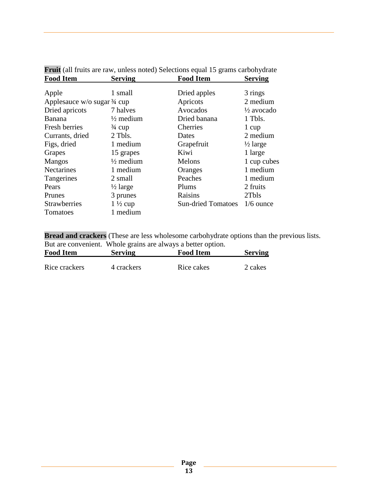|                                          |                      | Prun (an nuns are law, unless noted) belections equal 19 grams carbon yurate |                       |
|------------------------------------------|----------------------|------------------------------------------------------------------------------|-----------------------|
| <b>Food Item</b>                         | <b>Serving</b>       | <b>Food Item</b>                                                             | <b>Serving</b>        |
|                                          |                      |                                                                              |                       |
| Apple                                    | 1 small              | Dried apples                                                                 | 3 rings               |
| Applesauce $w/o$ sugar $\frac{3}{4}$ cup |                      | Apricots                                                                     | 2 medium              |
| Dried apricots                           | 7 halves             | Avocados                                                                     | $\frac{1}{2}$ avocado |
| Banana                                   | $\frac{1}{2}$ medium | Dried banana                                                                 | 1 Tbls.               |
| Fresh berries                            | $\frac{3}{4}$ cup    | Cherries                                                                     | 1 cup                 |
| Currants, dried                          | 2 Tbls.              | Dates                                                                        | 2 medium              |
| Figs, dried                              | 1 medium             | Grapefruit                                                                   | $\frac{1}{2}$ large   |
| Grapes                                   | 15 grapes            | Kiwi                                                                         | 1 large               |
| <b>Mangos</b>                            | $\frac{1}{2}$ medium | Melons                                                                       | 1 cup cubes           |
| <b>Nectarines</b>                        | 1 medium             | Oranges                                                                      | 1 medium              |
| Tangerines                               | 2 small              | Peaches                                                                      | 1 medium              |
| Pears                                    | $\frac{1}{2}$ large  | Plums                                                                        | 2 fruits              |
| Prunes                                   | 3 prunes             | Raisins                                                                      | 2Tbls                 |
| <b>Strawberries</b>                      | $1\frac{1}{2}$ cup   | <b>Sun-dried Tomatoes</b>                                                    | $1/6$ ounce           |
| Tomatoes                                 | 1 medium             |                                                                              |                       |

**Fruit** (all fruits are raw, unless noted) Selections equal 15 grams carbohydrate

**Bread and crackers** (These are less wholesome carbohydrate options than the previous lists. But are convenient. Whole grains are always a better option.

| <b>Food Item</b> | <b>Serving</b> | <b>Food Item</b> | <b>Serving</b> |
|------------------|----------------|------------------|----------------|
| Rice crackers    | 4 crackers     | Rice cakes       | 2 cakes        |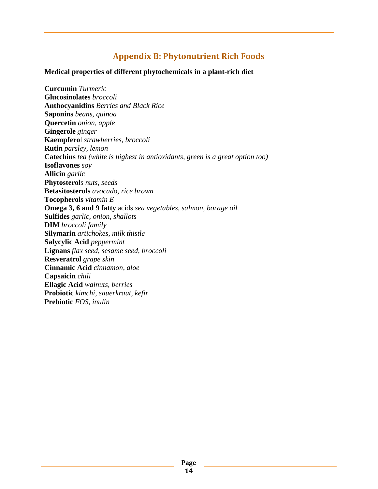# **Appendix B: Phytonutrient Rich Foods**

#### <span id="page-13-0"></span>**Medical properties of different phytochemicals in a plant-rich diet**

**Curcumin** *Turmeric* **Glucosinolates** *broccoli* **Anthocyanidins** *Berries and Black Rice* **Saponins** *beans, quinoa* **Quercetin** *onion, apple* **Gingerole** *ginger* **Kaempfero**l *strawberries, broccoli* **Rutin** *parsley, lemon* **Catechins** *tea (white is highest in antioxidants, green is a great option too)* **Isoflavones** *soy* **Allicin** *garlic* **Phytosterol**s *nuts, seeds* **Betasitosterols** *avocado, rice brown* **Tocopherols** *vitamin E* **Omega 3, 6 and 9 fatty** acids *sea vegetables, salmon, borage oil* **Sulfides** *garlic, onion, shallots* **DIM** *broccoli family* **Silymarin** *artichokes, milk thistle* **Salycylic Acid** *peppermint* **Lignans** *flax seed, sesame seed, broccoli* **Resveratrol** *grape skin* **Cinnamic Acid** *cinnamon, aloe* **Capsaicin** *chili* **Ellagic Acid** *walnuts, berries* **Probiotic** *kimchi, sauerkraut, kefir* **Prebiotic** *FOS, inulin*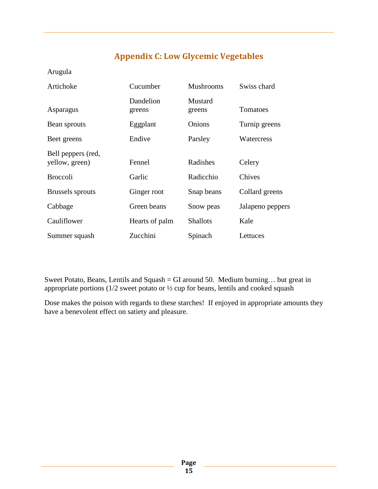# **Appendix C: Low Glycemic Vegetables**

<span id="page-14-0"></span>Arugula

| Artichoke                            | Cucumber            | <b>Mushrooms</b>  | Swiss chard      |
|--------------------------------------|---------------------|-------------------|------------------|
| Asparagus                            | Dandelion<br>greens | Mustard<br>greens | Tomatoes         |
| Bean sprouts                         | Eggplant            | Onions            | Turnip greens    |
| Beet greens                          | Endive              | Parsley           | Watercress       |
| Bell peppers (red,<br>yellow, green) | Fennel              | Radishes          | Celery           |
| <b>Broccoli</b>                      | Garlic              | Radicchio         | Chives           |
| <b>Brussels</b> sprouts              | Ginger root         | Snap beans        | Collard greens   |
| Cabbage                              | Green beans         | Snow peas         | Jalapeno peppers |
| Cauliflower                          | Hearts of palm      | <b>Shallots</b>   | Kale             |
| Summer squash                        | Zucchini            | Spinach           | Lettuces         |

Sweet Potato, Beans, Lentils and Squash = GI around 50. Medium burning… but great in appropriate portions (1/2 sweet potato or ½ cup for beans, lentils and cooked squash

Dose makes the poison with regards to these starches! If enjoyed in appropriate amounts they have a benevolent effect on satiety and pleasure.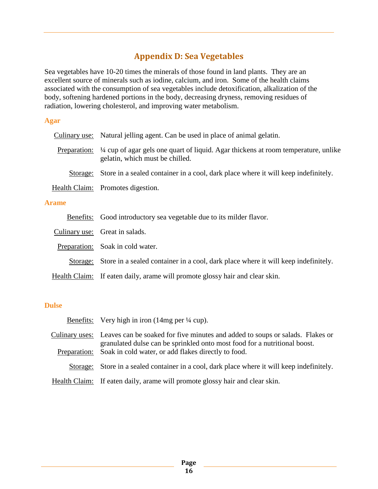# **Appendix D: Sea Vegetables**

<span id="page-15-0"></span>Sea vegetables have 10-20 times the minerals of those found in land plants. They are an excellent source of minerals such as iodine, calcium, and iron. Some of the health claims associated with the consumption of sea vegetables include detoxification, alkalization of the body, softening hardened portions in the body, decreasing dryness, removing residues of radiation, lowering cholesterol, and improving water metabolism.

#### **Agar**

| Culinary use: | Natural jelling agent. Can be used in place of animal gelatin.                                                         |
|---------------|------------------------------------------------------------------------------------------------------------------------|
| Preparation:  | 1/4 cup of agar gels one quart of liquid. Agar thickens at room temperature, unlike<br>gelatin, which must be chilled. |
| Storage:      | Store in a sealed container in a cool, dark place where it will keep indefinitely.                                     |
|               | Health Claim: Promotes digestion.                                                                                      |
| <b>Arame</b>  |                                                                                                                        |
| Benefits:     | Good introductory sea vegetable due to its milder flavor.                                                              |
|               | Culinary use: Great in salads.                                                                                         |
|               | Preparation: Soak in cold water.                                                                                       |
| Storage:      | Store in a sealed container in a cool, dark place where it will keep indefinitely.                                     |
|               | Health Claim: If eaten daily, arame will promote glossy hair and clear skin.                                           |

#### **Dulse**

|              | Benefits: Very high in iron $(14mg \text{ per } \frac{1}{4} \text{ cup})$ .                                                                                               |
|--------------|---------------------------------------------------------------------------------------------------------------------------------------------------------------------------|
|              | Culinary uses: Leaves can be soaked for five minutes and added to soups or salads. Flakes or<br>granulated dulse can be sprinkled onto most food for a nutritional boost. |
| Preparation: | Soak in cold water, or add flakes directly to food.                                                                                                                       |
|              | Storage: Store in a sealed container in a cool, dark place where it will keep indefinitely.                                                                               |
|              | Health Claim: If eaten daily, arame will promote glossy hair and clear skin.                                                                                              |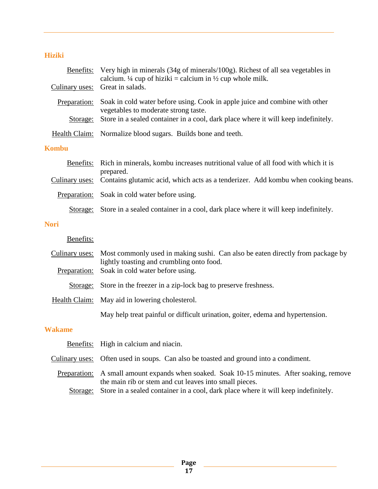#### **Hiziki**

|                | Benefits: Very high in minerals (34g of minerals/100g). Richest of all sea vegetables in<br>calcium. $\frac{1}{4}$ cup of hiziki = calcium in $\frac{1}{2}$ cup whole milk. |
|----------------|-----------------------------------------------------------------------------------------------------------------------------------------------------------------------------|
|                | Culinary uses: Great in salads.                                                                                                                                             |
| Preparation:   | Soak in cold water before using. Cook in apple juice and combine with other<br>vegetables to moderate strong taste.                                                         |
| Storage:       | Store in a sealed container in a cool, dark place where it will keep indefinitely.                                                                                          |
|                | Health Claim: Normalize blood sugars. Builds bone and teeth.                                                                                                                |
| <b>Kombu</b>   |                                                                                                                                                                             |
| Benefits:      | Rich in minerals, kombu increases nutritional value of all food with which it is<br>prepared.                                                                               |
| Culinary uses: | Contains glutamic acid, which acts as a tenderizer. Add kombu when cooking beans.                                                                                           |
| Preparation:   | Soak in cold water before using.                                                                                                                                            |
| Storage:       | Store in a sealed container in a cool, dark place where it will keep indefinitely.                                                                                          |

#### **Nori**

# Benefits:

|          | Culinary uses: Most commonly used in making sushi. Can also be eaten directly from package by<br>lightly toasting and crumbling onto food. |
|----------|--------------------------------------------------------------------------------------------------------------------------------------------|
|          | Preparation: Soak in cold water before using.                                                                                              |
| Storage: | Store in the freezer in a zip-lock bag to preserve freshness.                                                                              |
|          | Health Claim: May aid in lowering cholesterol.                                                                                             |
|          | May help treat painful or difficult urination, goiter, edema and hypertension.                                                             |
| 'akame   |                                                                                                                                            |

# **W**

| Benefits: High in calcium and niacin.                                                                                                                |
|------------------------------------------------------------------------------------------------------------------------------------------------------|
| Culinary uses: Often used in soups. Can also be toasted and ground into a condiment.                                                                 |
| Preparation: A small amount expands when soaked. Soak 10-15 minutes. After soaking, remove<br>the main rib or stem and cut leaves into small pieces. |
| Storage: Store in a sealed container in a cool, dark place where it will keep indefinitely.                                                          |